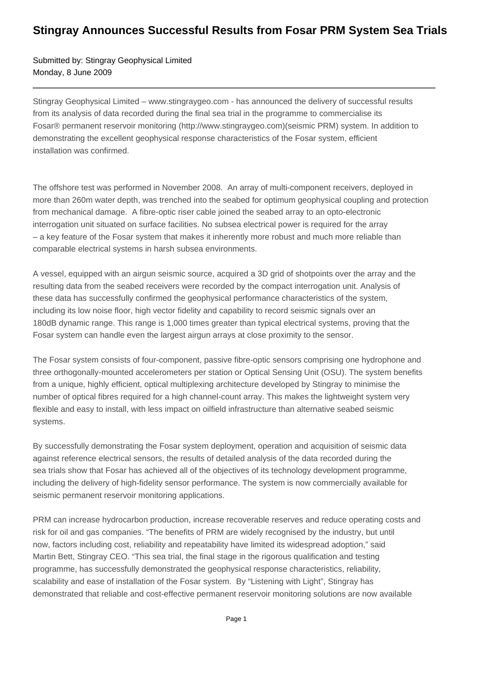## **Stingray Announces Successful Results from Fosar PRM System Sea Trials**

Submitted by: Stingray Geophysical Limited Monday, 8 June 2009

Stingray Geophysical Limited – www.stingraygeo.com - has announced the delivery of successful results from its analysis of data recorded during the final sea trial in the programme to commercialise its Fosar® permanent reservoir monitoring (http://www.stingraygeo.com)(seismic PRM) system. In addition to demonstrating the excellent geophysical response characteristics of the Fosar system, efficient installation was confirmed.

The offshore test was performed in November 2008. An array of multi-component receivers, deployed in more than 260m water depth, was trenched into the seabed for optimum geophysical coupling and protection from mechanical damage. A fibre-optic riser cable joined the seabed array to an opto-electronic interrogation unit situated on surface facilities. No subsea electrical power is required for the array – a key feature of the Fosar system that makes it inherently more robust and much more reliable than comparable electrical systems in harsh subsea environments.

A vessel, equipped with an airgun seismic source, acquired a 3D grid of shotpoints over the array and the resulting data from the seabed receivers were recorded by the compact interrogation unit. Analysis of these data has successfully confirmed the geophysical performance characteristics of the system, including its low noise floor, high vector fidelity and capability to record seismic signals over an 180dB dynamic range. This range is 1,000 times greater than typical electrical systems, proving that the Fosar system can handle even the largest airgun arrays at close proximity to the sensor.

The Fosar system consists of four-component, passive fibre-optic sensors comprising one hydrophone and three orthogonally-mounted accelerometers per station or Optical Sensing Unit (OSU). The system benefits from a unique, highly efficient, optical multiplexing architecture developed by Stingray to minimise the number of optical fibres required for a high channel-count array. This makes the lightweight system very flexible and easy to install, with less impact on oilfield infrastructure than alternative seabed seismic systems.

By successfully demonstrating the Fosar system deployment, operation and acquisition of seismic data against reference electrical sensors, the results of detailed analysis of the data recorded during the sea trials show that Fosar has achieved all of the objectives of its technology development programme, including the delivery of high-fidelity sensor performance. The system is now commercially available for seismic permanent reservoir monitoring applications.

PRM can increase hydrocarbon production, increase recoverable reserves and reduce operating costs and risk for oil and gas companies. "The benefits of PRM are widely recognised by the industry, but until now, factors including cost, reliability and repeatability have limited its widespread adoption," said Martin Bett, Stingray CEO. "This sea trial, the final stage in the rigorous qualification and testing programme, has successfully demonstrated the geophysical response characteristics, reliability, scalability and ease of installation of the Fosar system. By "Listening with Light", Stingray has demonstrated that reliable and cost-effective permanent reservoir monitoring solutions are now available